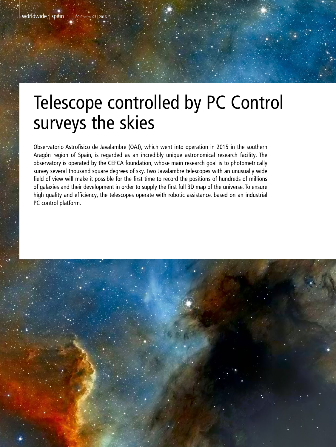# Telescope controlled by PC Control surveys the skies

Observatorio Astrofísico de Javalambre (OAJ), which went into operation in 2015 in the southern Aragón region of Spain, is regarded as an incredibly unique astronomical research facility. The observatory is operated by the CEFCA foundation, whose main research goal is to photometrically survey several thousand square degrees of sky. Two Javalambre telescopes with an unusually wide field of view will make it possible for the first time to record the positions of hundreds of millions of galaxies and their development in order to supply the first full 3D map of the universe. To ensure high quality and efficiency, the telescopes operate with robotic assistance, based on an industrial PC control platform.

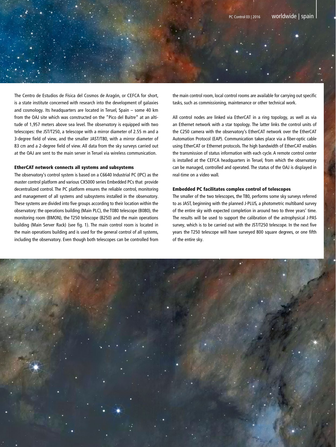

The Centro de Estudios de Física del Cosmos de Aragón, or CEFCA for short, is a state institute concerned with research into the development of galaxies and cosmology. Its headquarters are located in Teruel, Spain – some 40 km from the OAJ site which was constructed on the "Pico del Buitre" at an altitude of 1,957 meters above sea level. The observatory is equipped with two telescopes: the JST/T250, a telescope with a mirror diameter of 2.55 m and a 3-degree field of view, and the smaller JAST/T80, with a mirror diameter of 83 cm and a 2-degree field of view. All data from the sky surveys carried out at the OAJ are sent to the main server in Teruel via wireless communication.

# EtherCAT network connects all systems and subsystems

The observatory's control system is based on a C6640 Industrial PC (IPC) as the master control platform and various CX5000 series Embedded PCs that provide decentralized control. The PC platform ensures the reliable control, monitoring and management of all systems and subsystems installed in the observatory. These systems are divided into five groups according to their location within the observatory: the operations building (Main PLC), the T080 telescope (B080), the monitoring room (BMON), the T250 telescope (B250) and the main operations building (Main Server Rack) (see fig. 1). The main control room is located in the main operations building and is used for the general control of all systems, including the observatory. Even though both telescopes can be controlled from the main control room, local control rooms are available for carrying out specific tasks, such as commissioning, maintenance or other technical work.

All control nodes are linked via EtherCAT in a ring topology, as well as via an Ethernet network with a star topology. The latter links the control units of the C250 camera with the observatory's EtherCAT network over the EtherCAT Automation Protocol (EAP). Communication takes place via a fiber-optic cable using EtherCAT or Ethernet protocols. The high bandwidth of EtherCAT enables the transmission of status information with each cycle. A remote control center is installed at the CEFCA headquarters in Teruel, from which the observatory can be managed, controlled and operated. The status of the OAJ is displayed in real-time on a video wall.

#### Embedded PC facilitates complex control of telescopes

The smaller of the two telescopes, the T80, performs some sky surveys referred to as JAST, beginning with the planned J-PLUS, a photometric multiband survey of the entire sky with expected completion in around two to three years' time. The results will be used to support the calibration of the astrophysical J-PAS survey, which is to be carried out with the JST/T250 telescope. In the next five years the T250 telescope will have surveyed 800 square degrees, or one fifth of the entire sky.

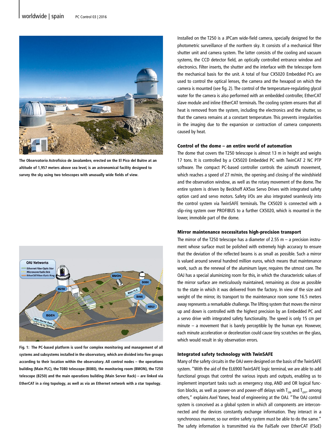

**The Observatorio Astrofísico de Javalambre, erected on the El Pico del Buitre at an altitude of 1,957 meters above sea level, is an astronomical facility designed to survey the sky using two telescopes with unusually wide fields of view.** 



**Fig. 1: The PC-based platform is used for complex monitoring and management of all systems and subsystems installed in the observatory, which are divided into five groups according to their location within the observatory. All control nodes – the operations building (Main PLC), the T080 telescope (B080), the monitoring room (BMON), the T250 telescope (B250) and the main operations building (Main Server Rack) – are linked via EtherCAT in a ring topology, as well as via an Ethernet network with a star topology.** 

Installed on the T250 is a JPCam wide-field camera, specially designed for the photometric surveillance of the northern sky. It consists of a mechanical filter shutter unit and camera system. The latter consists of the cooling and vacuum systems, the CCD detector field, an optically controlled entrance window and electronics. Filter inserts, the shutter and the interface with the telescope form the mechanical basis for the unit. A total of four CX5020 Embedded PCs are used to control the optical lenses, the camera and the hexapod on which the camera is mounted (see fig. 2). The control of the temperature-regulating glycol water for the camera is also performed with an embedded controller, EtherCAT slave module and inline EtherCAT terminals. The cooling system ensures that all heat is removed from the system, including the electronics and the shutter, so that the camera remains at a constant temperature. This prevents irregularities in the imaging due to the expansion or contraction of camera components caused by heat.

#### Control of the dome – an entire world of automation

The dome that covers the T250 telescope is almost 13 m in height and weighs 17 tons. It is controlled by a CX5020 Embedded PC with TwinCAT 2 NC PTP software. The compact PC-based controller controls the azimuth movement, which reaches a speed of 27 m/min, the opening and closing of the windshield and the observation window, as well as the rotary movement of the dome. The entire system is driven by Beckhoff AX5xx Servo Drives with integrated safety option card and servo motors. Safety I/Os are also integrated seamlessly into the control system via TwinSAFE terminals. The CX5020 is connected with a slip-ring system over PROFIBUS to a further CX5020, which is mounted in the lower, immobile part of the dome.

#### Mirror maintenance necessitates high-precision transport

The mirror of the T250 telescope has a diameter of 2.55 m  $-$  a precision instrument whose surface must be polished with extremely high accuracy to ensure that the deviation of the reflected beams is as small as possible. Such a mirror is valued around several hundred million euros, which means that maintenance work, such as the renewal of the aluminum layer, requires the utmost care. The OAJ has a special aluminizing room for this, in which the characteristic values of the mirror surface are meticulously maintained, remaining as close as possible to the state in which it was delivered from the factory. In view of the size and weight of the mirror, its transport to the maintenance room some 16.5 meters away represents a remarkable challenge. The lifting system that moves the mirror up and down is controlled with the highest precision by an Embedded PC and a servo drive with integrated safety functionality. The speed is only 15 cm per minute  $-$  a movement that is barely perceptible by the human eye. However, each minute acceleration or deceleration could cause tiny scratches on the glass, which would result in sky observation errors.

## Integrated safety technology with TwinSAFE

Many of the safety circuits in the OAJ were designed on the basis of the TwinSAFE system. "With the aid of the EL6900 TwinSAFE logic terminal, we are able to add functional groups that control the various inputs and outputs, enabling us to implement important tasks such as emergency stop, AND and OR logical function blocks, as well as power-on and power-off delays with  $T_{\text{ON}}$  and  $T_{\text{OFF}}$  among others," explains Axel Yanes, head of engineering at the OAJ. "The OAJ control system is conceived as a global system in which all components are interconnected and the devices constantly exchange information. They interact in a synchronous manner, so our entire safety system must be able to do the same." The safety information is transmitted via the FailSafe over EtherCAT (FSoE)